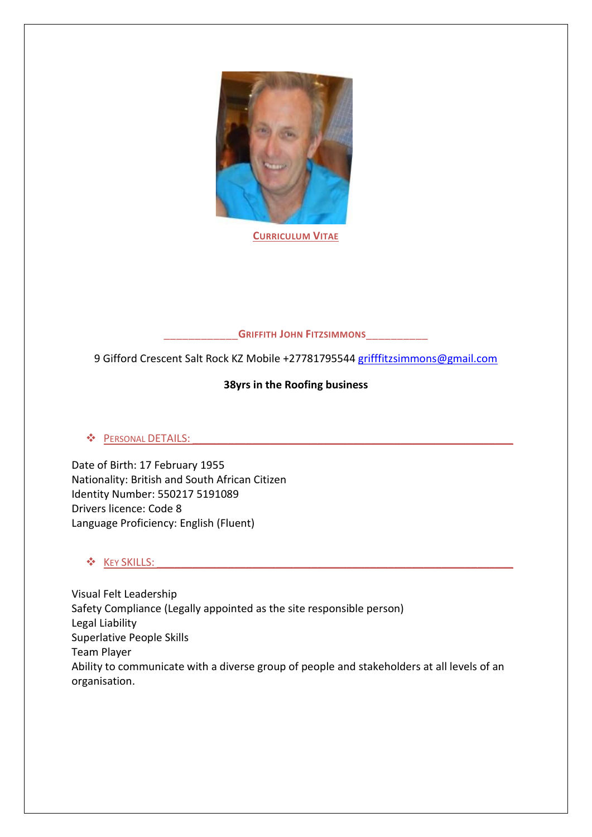

**CURRICULUM VITAE**

#### \_\_\_\_\_\_\_\_\_\_\_\_**GRIFFITH JOHN FITZSIMMONS**\_\_\_\_\_\_\_\_\_\_

9 Gifford Crescent Salt Rock KZ Mobile +27781795544 [grifffitzsimmons@gmail.com](mailto:grifffitzsimmons@gmail.com)

## **38yrs in the Roofing business**

## ◆ <u>PERSONAL DETAILS:</u> <u>● △ PERSONAL DETAILS: ● △ PERSONAL DETAILS: ● △ PERSONAL DETAILS: ● △ PERSONAL DETAILS: ● △ PERSONAL DETAILS: ● △ PERSONAL DETAILS: ● △ PERSONAL DETAILS: ● △ PERSONAL DETAILS: ● △ PERSONAL DETAILS: </u>

Date of Birth: 17 February 1955 Nationality: British and South African Citizen Identity Number: 550217 5191089 Drivers licence: Code 8 Language Proficiency: English (Fluent)

# $\clubsuit$  <u>KEY SKILLS:</u>  $\qquad \qquad$

Visual Felt Leadership Safety Compliance (Legally appointed as the site responsible person) Legal Liability Superlative People Skills Team Player Ability to communicate with a diverse group of people and stakeholders at all levels of an organisation.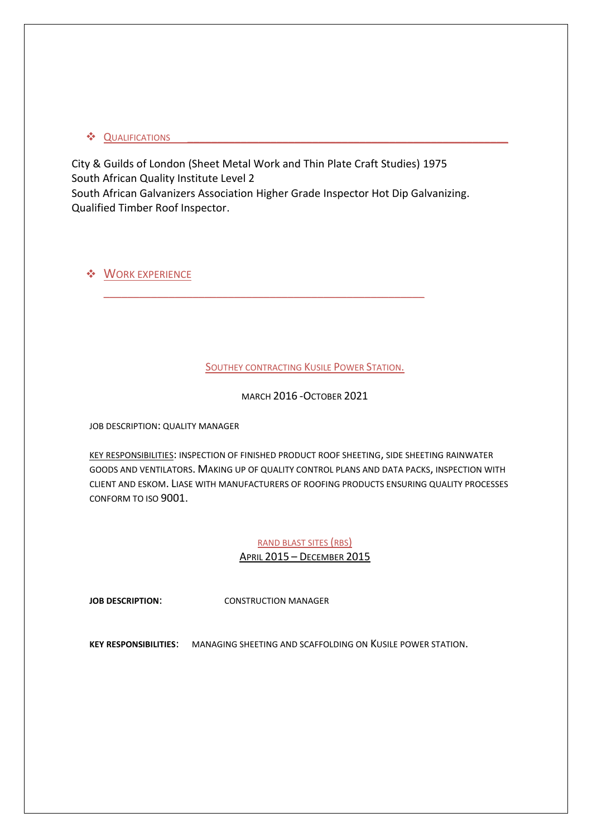#### ❖ QUALIFICATIONS \_\_\_\_\_\_\_\_\_\_\_\_\_\_\_\_\_\_\_\_\_\_\_\_\_\_\_\_\_\_\_\_\_\_\_\_\_\_\_\_\_\_\_\_\_\_\_\_\_\_\_\_\_\_

City & Guilds of London (Sheet Metal Work and Thin Plate Craft Studies) 1975 South African Quality Institute Level 2 South African Galvanizers Association Higher Grade Inspector Hot Dip Galvanizing. Qualified Timber Roof Inspector.

\_\_\_\_\_\_\_\_\_\_\_\_\_\_\_\_\_\_\_\_\_\_\_\_\_\_\_\_\_\_\_\_\_\_\_\_\_\_\_\_\_\_\_\_\_\_\_\_\_\_\_\_\_\_

❖ WORK EXPERIENCE

SOUTHEY CONTRACTING KUSILE POWER STATION.

MARCH 2016 -OCTOBER 2021

JOB DESCRIPTION: QUALITY MANAGER

KEY RESPONSIBILITIES: INSPECTION OF FINISHED PRODUCT ROOF SHEETING, SIDE SHEETING RAINWATER GOODS AND VENTILATORS. MAKING UP OF QUALITY CONTROL PLANS AND DATA PACKS, INSPECTION WITH CLIENT AND ESKOM. LIASE WITH MANUFACTURERS OF ROOFING PRODUCTS ENSURING QUALITY PROCESSES CONFORM TO ISO 9001.

> RAND BLAST SITES (RBS) APRIL 2015 – DECEMBER 2015

**JOB DESCRIPTION**: CONSTRUCTION MANAGER

**KEY RESPONSIBILITIES**: MANAGING SHEETING AND SCAFFOLDING ON KUSILE POWER STATION.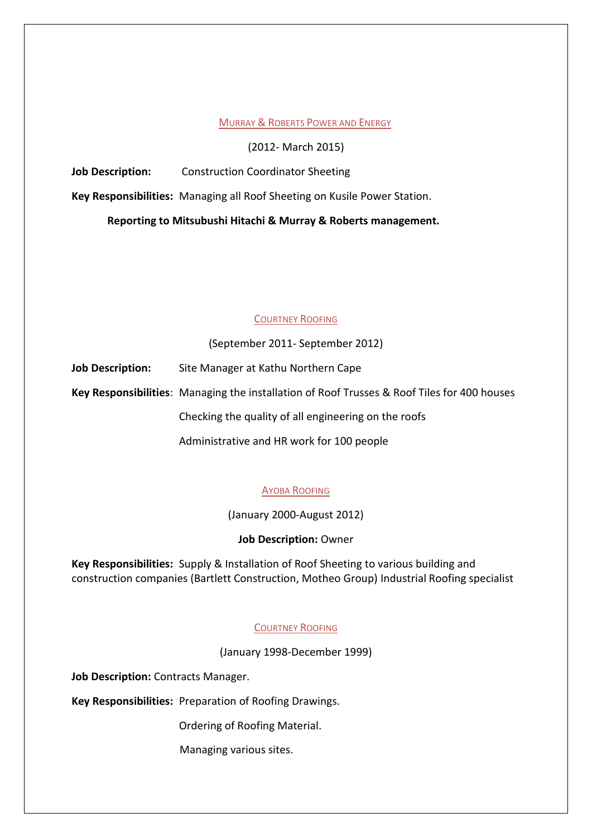#### MURRAY & ROBERTS POWER AND ENERGY

(2012- March 2015)

**Job Description:** Construction Coordinator Sheeting

**Key Responsibilities:** Managing all Roof Sheeting on Kusile Power Station.

**Reporting to Mitsubushi Hitachi & Murray & Roberts management.**

## COURTNEY ROOFING

(September 2011- September 2012)

| <b>Job Description:</b> | Site Manager at Kathu Northern Cape |
|-------------------------|-------------------------------------|
|                         |                                     |

**Key Responsibilities**: Managing the installation of Roof Trusses & Roof Tiles for 400 houses

Checking the quality of all engineering on the roofs

Administrative and HR work for 100 people

## AYOBA ROOFING

(January 2000-August 2012)

## **Job Description:** Owner

**Key Responsibilities:** Supply & Installation of Roof Sheeting to various building and construction companies (Bartlett Construction, Motheo Group) Industrial Roofing specialist

## COURTNEY ROOFING

(January 1998-December 1999)

**Job Description: Contracts Manager.** 

**Key Responsibilities:** Preparation of Roofing Drawings.

Ordering of Roofing Material.

Managing various sites.